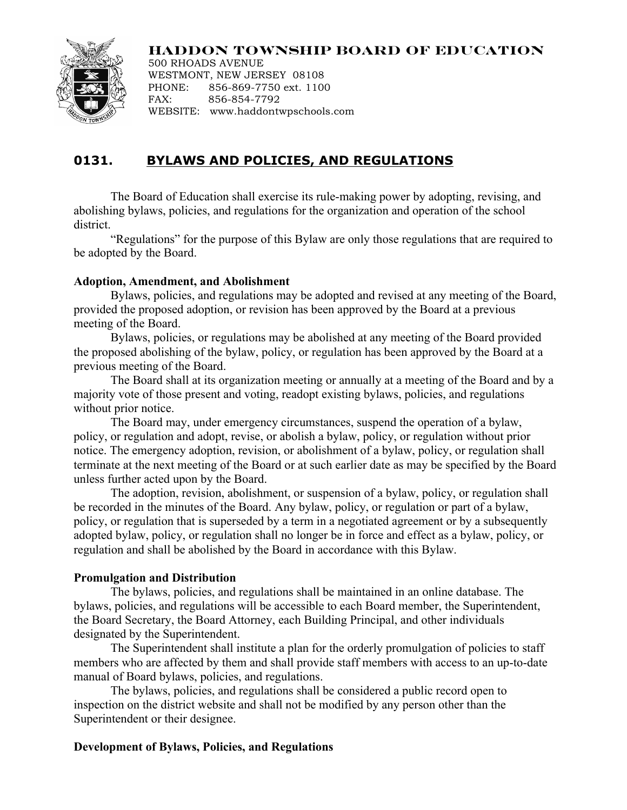## **HADDON TOWNSHIP BOARD OF EDUCATION**



500 RHOADS AVENUE WESTMONT, NEW JERSEY 08108 PHONE: 856-869-7750 ext. 1100 FAX: 856-854-7792 WEBSITE: www.haddontwpschools.com

# **0131. BYLAWS AND POLICIES, AND REGULATIONS**

The Board of Education shall exercise its rule-making power by adopting, revising, and abolishing bylaws, policies, and regulations for the organization and operation of the school district.

"Regulations" for the purpose of this Bylaw are only those regulations that are required to be adopted by the Board.

#### **Adoption, Amendment, and Abolishment**

Bylaws, policies, and regulations may be adopted and revised at any meeting of the Board, provided the proposed adoption, or revision has been approved by the Board at a previous meeting of the Board.

Bylaws, policies, or regulations may be abolished at any meeting of the Board provided the proposed abolishing of the bylaw, policy, or regulation has been approved by the Board at a previous meeting of the Board.

The Board shall at its organization meeting or annually at a meeting of the Board and by a majority vote of those present and voting, readopt existing bylaws, policies, and regulations without prior notice.

The Board may, under emergency circumstances, suspend the operation of a bylaw, policy, or regulation and adopt, revise, or abolish a bylaw, policy, or regulation without prior notice. The emergency adoption, revision, or abolishment of a bylaw, policy, or regulation shall terminate at the next meeting of the Board or at such earlier date as may be specified by the Board unless further acted upon by the Board.

The adoption, revision, abolishment, or suspension of a bylaw, policy, or regulation shall be recorded in the minutes of the Board. Any bylaw, policy, or regulation or part of a bylaw, policy, or regulation that is superseded by a term in a negotiated agreement or by a subsequently adopted bylaw, policy, or regulation shall no longer be in force and effect as a bylaw, policy, or regulation and shall be abolished by the Board in accordance with this Bylaw.

### **Promulgation and Distribution**

The bylaws, policies, and regulations shall be maintained in an online database. The bylaws, policies, and regulations will be accessible to each Board member, the Superintendent, the Board Secretary, the Board Attorney, each Building Principal, and other individuals designated by the Superintendent.

The Superintendent shall institute a plan for the orderly promulgation of policies to staff members who are affected by them and shall provide staff members with access to an up-to-date manual of Board bylaws, policies, and regulations.

The bylaws, policies, and regulations shall be considered a public record open to inspection on the district website and shall not be modified by any person other than the Superintendent or their designee.

### **Development of Bylaws, Policies, and Regulations**